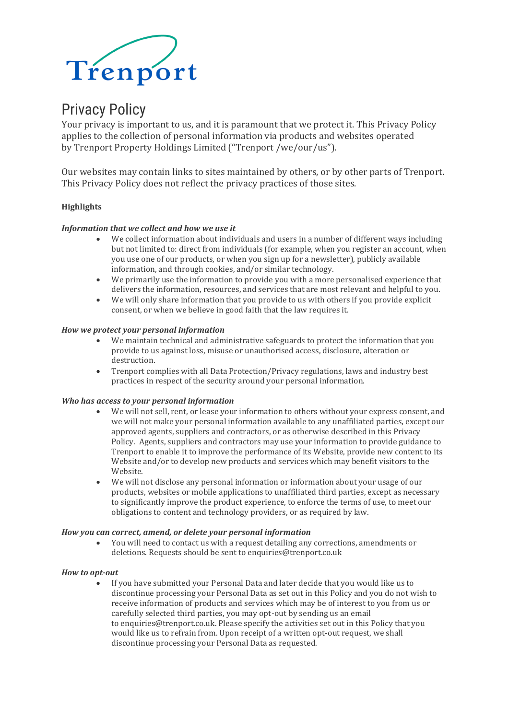

# Privacy Policy

Your privacy is important to us, and it is paramount that we protect it. This Privacy Policy applies to the collection of personal information via products and websites operated by Trenport Property Holdings Limited ("Trenport /we/our/us").

Our websites may contain links to sites maintained by others, or by other parts of Trenport. This Privacy Policy does not reflect the privacy practices of those sites.

# **Highlights**

## *Information that we collect and how we use it*

- We collect information about individuals and users in a number of different ways including but not limited to: direct from individuals (for example, when you register an account, when you use one of our products, or when you sign up for a newsletter), publicly available information, and through cookies, and/or similar technology.
- We primarily use the information to provide you with a more personalised experience that delivers the information, resources, and services that are most relevant and helpful to you.
- We will only share information that you provide to us with others if you provide explicit consent, or when we believe in good faith that the law requires it.

## *How we protect your personal information*

- We maintain technical and administrative safeguards to protect the information that you provide to us against loss, misuse or unauthorised access, disclosure, alteration or destruction.
- Trenport complies with all Data Protection/Privacy regulations, laws and industry best practices in respect of the security around your personal information.

## *Who has access to your personal information*

- We will not sell, rent, or lease your information to others without your express consent, and we will not make your personal information available to any unaffiliated parties, except our approved agents, suppliers and contractors, or as otherwise described in this Privacy Policy. Agents, suppliers and contractors may use your information to provide guidance to Trenport to enable it to improve the performance of its Website, provide new content to its Website and/or to develop new products and services which may benefit visitors to the Website.
- We will not disclose any personal information or information about your usage of our products, websites or mobile applications to unaffiliated third parties, except as necessary to significantly improve the product experience, to enforce the terms of use, to meet our obligations to content and technology providers, or as required by law.

## *How you can correct, amend, or delete your personal information*

• You will need to contact us with a request detailing any corrections, amendments or deletions. Requests should be sent to enquiries@trenport.co.uk

#### *How to opt-out*

• If you have submitted your Personal Data and later decide that you would like us to discontinue processing your Personal Data as set out in this Policy and you do not wish to receive information of products and services which may be of interest to you from us or carefully selected third parties, you may opt-out by sending us an email to enquiries@trenport.co.uk. Please specify the activities set out in this Policy that you would like us to refrain from. Upon receipt of a written opt-out request, we shall discontinue processing your Personal Data as requested.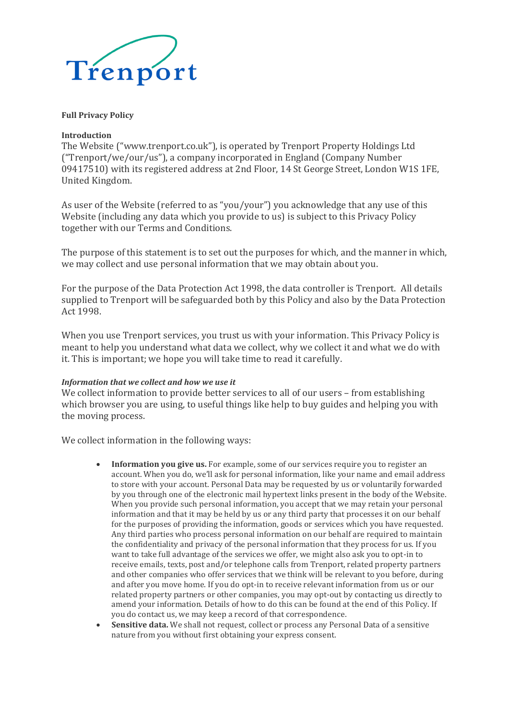

## **Full Privacy Policy**

## **Introduction**

The Website ("www.trenport.co.uk"), is operated by Trenport Property Holdings Ltd ("Trenport/we/our/us"), a company incorporated in England (Company Number 09417510) with its registered address at 2nd Floor, 14 St George Street, London W1S 1FE, United Kingdom.

As user of the Website (referred to as "you/your") you acknowledge that any use of this Website (including any data which you provide to us) is subject to this Privacy Policy together with our Terms and Conditions.

The purpose of this statement is to set out the purposes for which, and the manner in which, we may collect and use personal information that we may obtain about you.

For the purpose of the Data Protection Act 1998, the data controller is Trenport. All details supplied to Trenport will be safeguarded both by this Policy and also by the Data Protection Act 1998.

When you use Trenport services, you trust us with your information. This Privacy Policy is meant to help you understand what data we collect, why we collect it and what we do with it. This is important; we hope you will take time to read it carefully.

## *Information that we collect and how we use it*

We collect information to provide better services to all of our users – from establishing which browser you are using, to useful things like help to buy guides and helping you with the moving process.

We collect information in the following ways:

- **Information you give us.** For example, some of our services require you to register an account. When you do, we'll ask for personal information, like your name and email address to store with your account. Personal Data may be requested by us or voluntarily forwarded by you through one of the electronic mail hypertext links present in the body of the Website. When you provide such personal information, you accept that we may retain your personal information and that it may be held by us or any third party that processes it on our behalf for the purposes of providing the information, goods or services which you have requested. Any third parties who process personal information on our behalf are required to maintain the confidentiality and privacy of the personal information that they process for us. If you want to take full advantage of the services we offer, we might also ask you to opt-in to receive emails, texts, post and/or telephone calls from Trenport, related property partners and other companies who offer services that we think will be relevant to you before, during and after you move home. If you do opt-in to receive relevant information from us or our related property partners or other companies, you may opt-out by contacting us directly to amend your information. Details of how to do this can be found at the end of this Policy. If you do contact us, we may keep a record of that correspondence.
- **Sensitive data.** We shall not request, collect or process any Personal Data of a sensitive nature from you without first obtaining your express consent.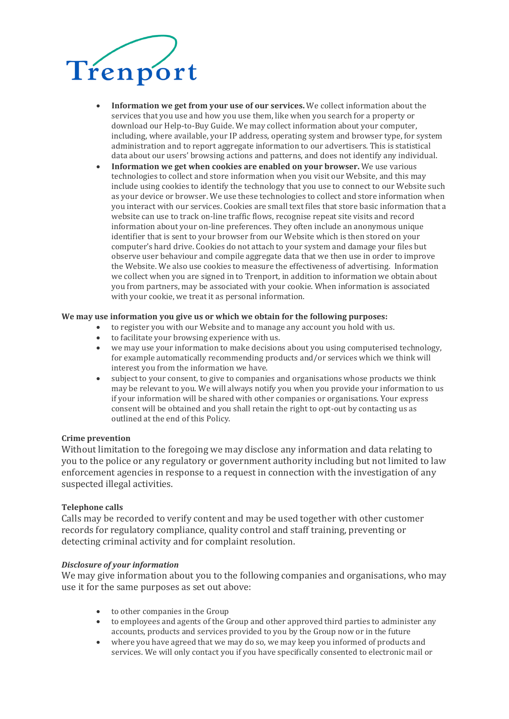

- **Information we get from your use of our services.** We collect information about the services that you use and how you use them, like when you search for a property or download our Help-to-Buy Guide. We may collect information about your computer, including, where available, your IP address, operating system and browser type, for system administration and to report aggregate information to our advertisers. This is statistical data about our users' browsing actions and patterns, and does not identify any individual.
- **Information we get when cookies are enabled on your browser.** We use various technologies to collect and store information when you visit our Website, and this may include using cookies to identify the technology that you use to connect to our Website such as your device or browser. We use these technologies to collect and store information when you interact with our services. Cookies are small text files that store basic information that a website can use to track on-line traffic flows, recognise repeat site visits and record information about your on-line preferences. They often include an anonymous unique identifier that is sent to your browser from our Website which is then stored on your computer's hard drive. Cookies do not attach to your system and damage your files but observe user behaviour and compile aggregate data that we then use in order to improve the Website. We also use cookies to measure the effectiveness of advertising. Information we collect when you are signed in to Trenport, in addition to information we obtain about you from partners, may be associated with your cookie. When information is associated with your cookie, we treat it as personal information.

#### **We may use information you give us or which we obtain for the following purposes:**

- to register you with our Website and to manage any account you hold with us.
- to facilitate your browsing experience with us.
- we may use your information to make decisions about you using computerised technology, for example automatically recommending products and/or services which we think will interest you from the information we have.
- subject to your consent, to give to companies and organisations whose products we think may be relevant to you. We will always notify you when you provide your information to us if your information will be shared with other companies or organisations. Your express consent will be obtained and you shall retain the right to opt-out by contacting us as outlined at the end of this Policy.

#### **Crime prevention**

Without limitation to the foregoing we may disclose any information and data relating to you to the police or any regulatory or government authority including but not limited to law enforcement agencies in response to a request in connection with the investigation of any suspected illegal activities.

## **Telephone calls**

Calls may be recorded to verify content and may be used together with other customer records for regulatory compliance, quality control and staff training, preventing or detecting criminal activity and for complaint resolution.

#### *Disclosure of your information*

We may give information about you to the following companies and organisations, who may use it for the same purposes as set out above:

- to other companies in the Group
- to employees and agents of the Group and other approved third parties to administer any accounts, products and services provided to you by the Group now or in the future
- where you have agreed that we may do so, we may keep you informed of products and services. We will only contact you if you have specifically consented to electronic mail or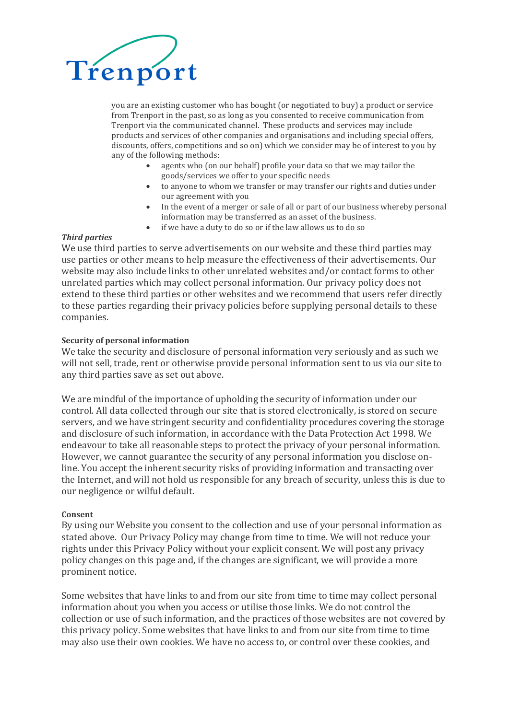

you are an existing customer who has bought (or negotiated to buy) a product or service from Trenport in the past, so as long as you consented to receive communication from Trenport via the communicated channel. These products and services may include products and services of other companies and organisations and including special offers, discounts, offers, competitions and so on) which we consider may be of interest to you by any of the following methods:

- agents who (on our behalf) profile your data so that we may tailor the goods/services we offer to your specific needs
- to anyone to whom we transfer or may transfer our rights and duties under our agreement with you
- In the event of a merger or sale of all or part of our business whereby personal information may be transferred as an asset of the business.
- if we have a duty to do so or if the law allows us to do so

## *Third parties*

We use third parties to serve advertisements on our website and these third parties may use parties or other means to help measure the effectiveness of their advertisements. Our website may also include links to other unrelated websites and/or contact forms to other unrelated parties which may collect personal information. Our privacy policy does not extend to these third parties or other websites and we recommend that users refer directly to these parties regarding their privacy policies before supplying personal details to these companies.

# **Security of personal information**

We take the security and disclosure of personal information very seriously and as such we will not sell, trade, rent or otherwise provide personal information sent to us via our site to any third parties save as set out above.

We are mindful of the importance of upholding the security of information under our control. All data collected through our site that is stored electronically, is stored on secure servers, and we have stringent security and confidentiality procedures covering the storage and disclosure of such information, in accordance with the Data Protection Act 1998. We endeavour to take all reasonable steps to protect the privacy of your personal information. However, we cannot guarantee the security of any personal information you disclose online. You accept the inherent security risks of providing information and transacting over the Internet, and will not hold us responsible for any breach of security, unless this is due to our negligence or wilful default.

## **Consent**

By using our Website you consent to the collection and use of your personal information as stated above. Our Privacy Policy may change from time to time. We will not reduce your rights under this Privacy Policy without your explicit consent. We will post any privacy policy changes on this page and, if the changes are significant, we will provide a more prominent notice.

Some websites that have links to and from our site from time to time may collect personal information about you when you access or utilise those links. We do not control the collection or use of such information, and the practices of those websites are not covered by this privacy policy. Some websites that have links to and from our site from time to time may also use their own cookies. We have no access to, or control over these cookies, and